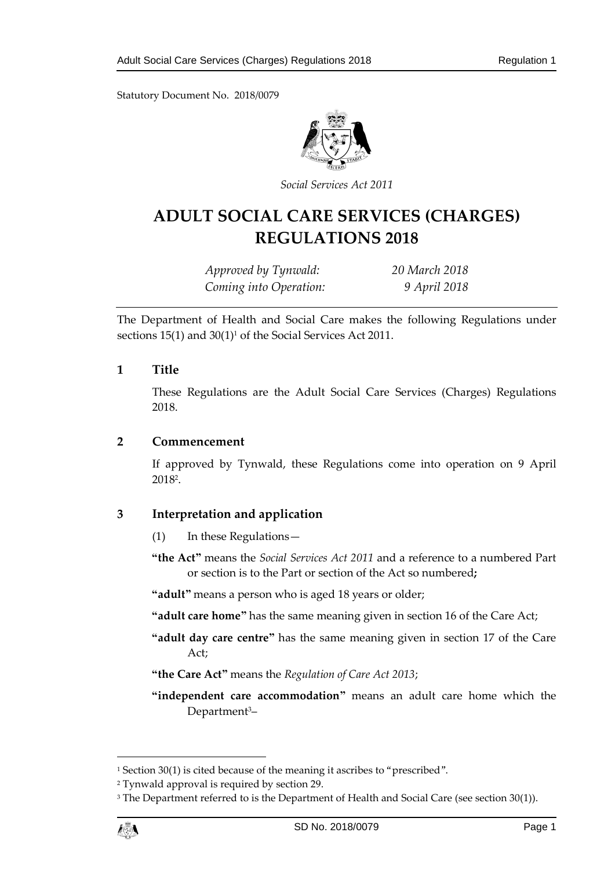Statutory Document No. 2018/0079



*Social Services Act 2011*

# **ADULT SOCIAL CARE SERVICES (CHARGES) REGULATIONS 2018**

*Approved by Tynwald: 20 March 2018 Coming into Operation: 9 April 2018*

The Department of Health and Social Care makes the following Regulations under sections 15(1) and 30(1)<sup>1</sup> of the Social Services Act 2011.

#### **1 Title**

These Regulations are the Adult Social Care Services (Charges) Regulations 2018.

#### **2 Commencement**

If approved by Tynwald, these Regulations come into operation on 9 April 2018<sup>2</sup> .

#### **3 Interpretation and application**

- (1) In these Regulations—
- **"the Act"** means the *Social Services Act 2011* and a reference to a numbered Part or section is to the Part or section of the Act so numbered**;**

**"adult"** means a person who is aged 18 years or older;

- **"adult care home"** has the same meaning given in section 16 of the Care Act;
- **"adult day care centre"** has the same meaning given in section 17 of the Care Act;
- **"the Care Act"** means the *Regulation of Care Act 2013*;

**"independent care accommodation"** means an adult care home which the Department<sup>3</sup>-

<sup>&</sup>lt;sup>3</sup> The Department referred to is the Department of Health and Social Care (see section 30(1)).



1

<sup>&</sup>lt;sup>1</sup> Section 30(1) is cited because of the meaning it ascribes to "prescribed".

<sup>2</sup> Tynwald approval is required by section 29.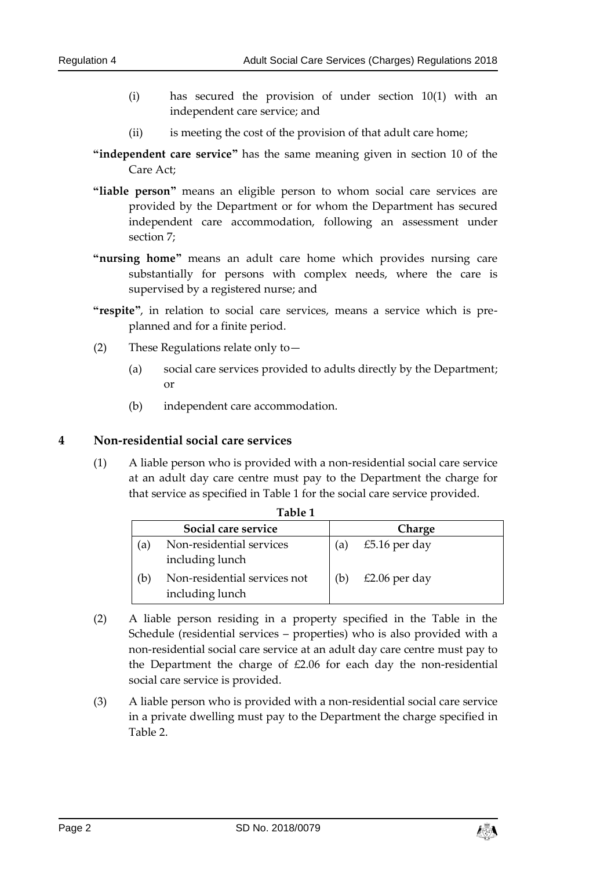- (i) has secured the provision of under section 10(1) with an independent care service; and
- (ii) is meeting the cost of the provision of that adult care home;
- **"independent care service"** has the same meaning given in section 10 of the Care Act;
- **"liable person"** means an eligible person to whom social care services are provided by the Department or for whom the Department has secured independent care accommodation, following an assessment under section 7;
- **"nursing home"** means an adult care home which provides nursing care substantially for persons with complex needs, where the care is supervised by a registered nurse; and
- **"respite"**, in relation to social care services, means a service which is preplanned and for a finite period.
- (2) These Regulations relate only to—
	- (a) social care services provided to adults directly by the Department; or
	- (b) independent care accommodation.

#### **4 Non-residential social care services**

(1) A liable person who is provided with a non-residential social care service at an adult day care centre must pay to the Department the charge for that service as specified in Table 1 for the social care service provided.

**Table 1**

|    | Social care service                             |     | Charge        |
|----|-------------------------------------------------|-----|---------------|
| 'a | Non-residential services<br>including lunch     | (a) | £5.16 per day |
| b  | Non-residential services not<br>including lunch | (b) | £2.06 per day |

- (2) A liable person residing in a property specified in the Table in the Schedule (residential services – properties) who is also provided with a non-residential social care service at an adult day care centre must pay to the Department the charge of £2.06 for each day the non-residential social care service is provided.
- <span id="page-1-0"></span>(3) A liable person who is provided with a non-residential social care service in a private dwelling must pay to the Department the charge specified in Table 2.

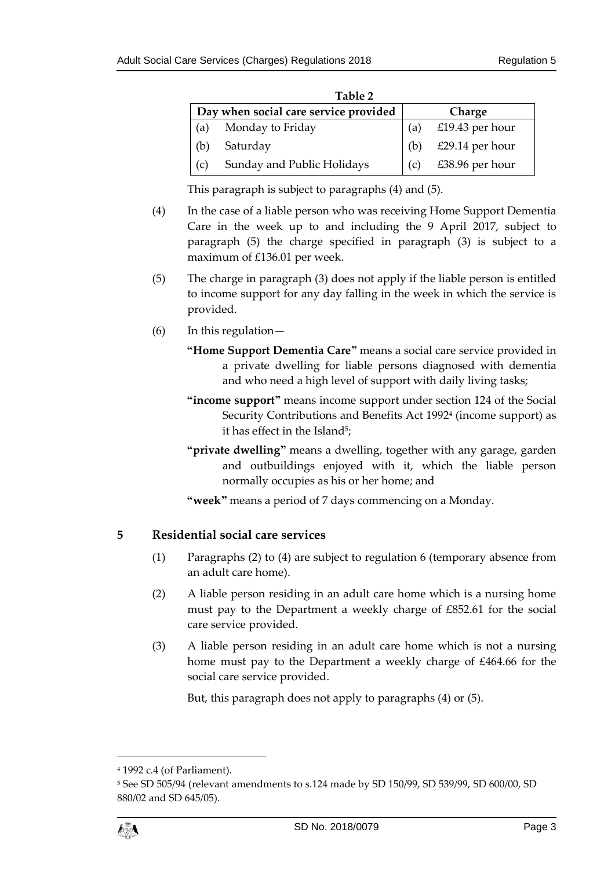| Table 2                               |                            |        |                 |
|---------------------------------------|----------------------------|--------|-----------------|
| Day when social care service provided |                            | Charge |                 |
| (a)                                   | Monday to Friday           | (a)    | £19.43 per hour |
| (b)                                   | Saturday                   | (b)    | £29.14 per hour |
| (c)                                   | Sunday and Public Holidays | (C)    | £38.96 per hour |

This paragraph is subject to paragraphs [\(4\)](#page-2-0) and (5).

- <span id="page-2-0"></span>(4) In the case of a liable person who was receiving Home Support Dementia Care in the week up to and including the 9 April 2017, subject to paragraph (5) the charge specified in paragraph [\(3\)](#page-1-0) is subject to a maximum of £136.01 per week.
- (5) The charge in paragraph (3) does not apply if the liable person is entitled to income support for any day falling in the week in which the service is provided.
- (6) In this regulation—
	- **"Home Support Dementia Care"** means a social care service provided in a private dwelling for liable persons diagnosed with dementia and who need a high level of support with daily living tasks;
	- **"income support"** means income support under section 124 of the Social Security Contributions and Benefits Act 1992<sup>4</sup> (income support) as it has effect in the Island<sup>5</sup>;
	- **"private dwelling"** means a dwelling, together with any garage, garden and outbuildings enjoyed with it, which the liable person normally occupies as his or her home; and

**"week"** means a period of 7 days commencing on a Monday.

## **5 Residential social care services**

- (1) Paragraphs (2) to (4) are subject to regulation 6 (temporary absence from an adult care home).
- (2) A liable person residing in an adult care home which is a nursing home must pay to the Department a weekly charge of £852.61 for the social care service provided.
- (3) A liable person residing in an adult care home which is not a nursing home must pay to the Department a weekly charge of £464.66 for the social care service provided.

But, this paragraph does not apply to paragraphs (4) or (5).

<sup>5</sup> See SD 505/94 (relevant amendments to s.124 made by SD 150/99, SD 539/99, SD 600/00, SD 880/02 and SD 645/05).



1

<sup>4</sup> 1992 c.4 (of Parliament).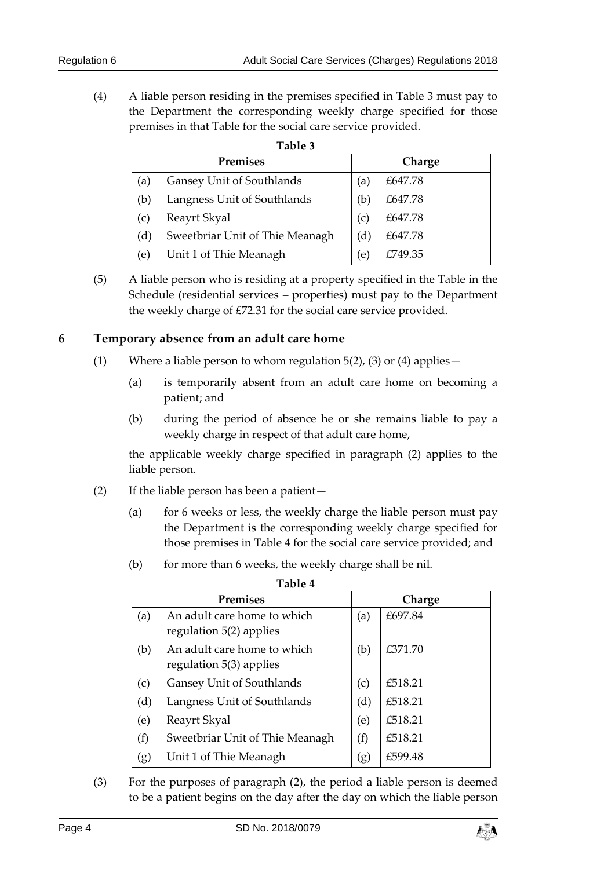(4) A liable person residing in the premises specified in Table 3 must pay to the Department the corresponding weekly charge specified for those premises in that Table for the social care service provided.

| l able |  |
|--------|--|
|--------|--|

|     | <b>Premises</b>                 |          | Charge  |
|-----|---------------------------------|----------|---------|
| (a) | Gansey Unit of Southlands       | $\alpha$ | £647.78 |
| (b) | Langness Unit of Southlands     | 'b       | £647.78 |
| (c) | Reayrt Skyal                    | (c)      | £647.78 |
| (d) | Sweetbriar Unit of Thie Meanagh | d)       | £647.78 |
| (e) | Unit 1 of Thie Meanagh          | (e)      | £749.35 |

<span id="page-3-0"></span>(5) A liable person who is residing at a property specified in the Table in the Schedule (residential services – properties) must pay to the Department the weekly charge of £72.31 for the social care service provided.

#### **6 Temporary absence from an adult care home**

- (1) Where a liable person to whom regulation  $5(2)$ , (3) or (4) applies  $-$ 
	- (a) is temporarily absent from an adult care home on becoming a patient; and
	- (b) during the period of absence he or she remains liable to pay a weekly charge in respect of that adult care home,

the applicable weekly charge specified in paragraph (2) applies to the liable person.

- (2) If the liable person has been a patient—
	- (a) for 6 weeks or less, the weekly charge the liable person must pay the Department is the corresponding weekly charge specified for those premises in Table 4 for the social care service provided; and
	- (b) for more than 6 weeks, the weekly charge shall be nil.

| Table 4 |                                                        |     |         |
|---------|--------------------------------------------------------|-----|---------|
|         | <b>Premises</b>                                        |     | Charge  |
| (a)     | An adult care home to which<br>regulation 5(2) applies | (a) | £697.84 |
| (b)     | An adult care home to which<br>regulation 5(3) applies | (b) | £371.70 |
| (c)     | Gansey Unit of Southlands                              | (c) | £518.21 |
| (d)     | Langness Unit of Southlands                            | (d) | £518.21 |
| (e)     | Reayrt Skyal                                           | (e) | £518.21 |
| (f)     | Sweetbriar Unit of Thie Meanagh                        | (f) | £518.21 |
| (g)     | Unit 1 of Thie Meanagh                                 | (g) | £599.48 |

(3) For the purposes of paragraph (2), the period a liable person is deemed to be a patient begins on the day after the day on which the liable person

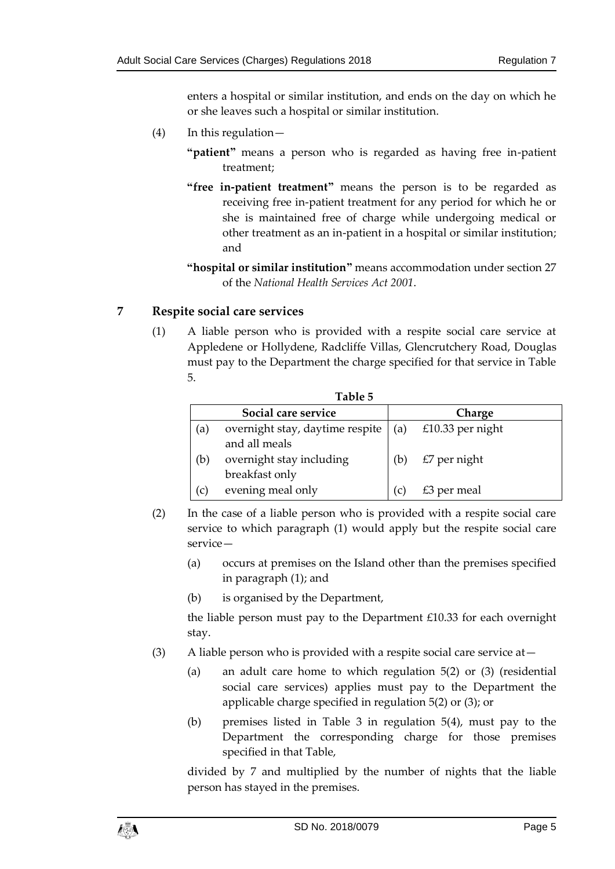enters a hospital or similar institution, and ends on the day on which he or she leaves such a hospital or similar institution.

- (4) In this regulation—
	- **"patient"** means a person who is regarded as having free in-patient treatment;
	- **"free in-patient treatment"** means the person is to be regarded as receiving free in-patient treatment for any period for which he or she is maintained free of charge while undergoing medical or other treatment as an in-patient in a hospital or similar institution; and
	- **"hospital or similar institution"** means accommodation under section 27 of the *National Health Services Act 2001*.

## <span id="page-4-0"></span>**7 Respite social care services**

(1) A liable person who is provided with a respite social care service at Appledene or Hollydene, Radcliffe Villas, Glencrutchery Road, Douglas must pay to the Department the charge specified for that service in Table 5.

|     | Table 5                                          |     |                  |  |  |
|-----|--------------------------------------------------|-----|------------------|--|--|
|     | Social care service                              |     | Charge           |  |  |
| (a) | overnight stay, daytime respite<br>and all meals | (a) | £10.33 per night |  |  |
| (b) | overnight stay including<br>breakfast only       | (b) | $£7$ per night   |  |  |
| (c) | evening meal only                                | (C) | $£3$ per meal    |  |  |

- (2) In the case of a liable person who is provided with a respite social care service to which paragraph [\(1\)](#page-4-0) would apply but the respite social care service—
	- (a) occurs at premises on the Island other than the premises specified in paragraph (1); and
	- (b) is organised by the Department,

the liable person must pay to the Department £10.33 for each overnight stay.

- <span id="page-4-1"></span>(3) A liable person who is provided with a respite social care service at  $-$ 
	- (a) an adult care home to which regulation 5(2) or (3) (residential social care services) applies must pay to the Department the applicable charge specified in regulation 5(2) or (3); or
	- (b) premises listed in Table 3 in regulation 5(4), must pay to the Department the corresponding charge for those premises specified in that Table,

divided by 7 and multiplied by the number of nights that the liable person has stayed in the premises.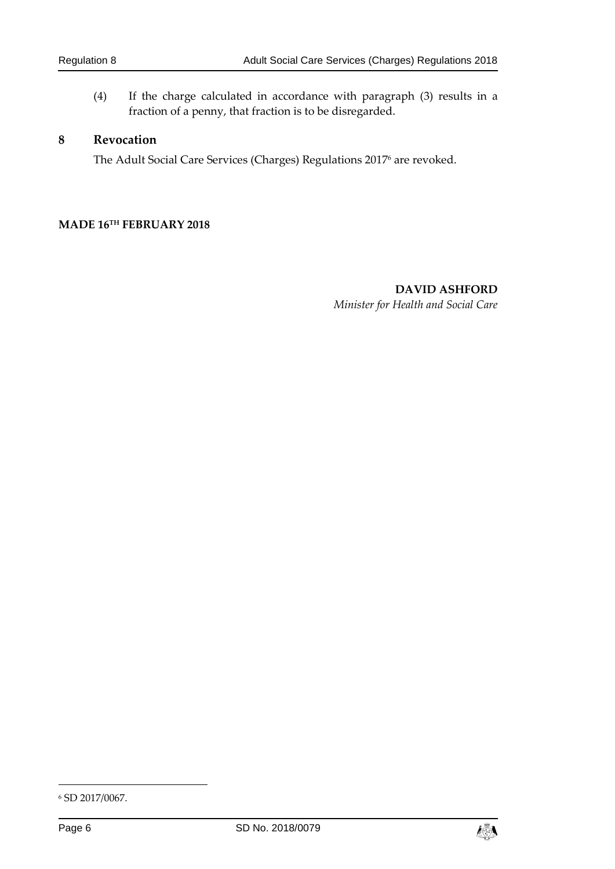(4) If the charge calculated in accordance with paragraph [\(3\)](#page-4-1) results in a fraction of a penny, that fraction is to be disregarded.

#### **8 Revocation**

The Adult Social Care Services (Charges) Regulations 2017 <sup>6</sup> are revoked.

#### **MADE 16TH FEBRUARY 2018**

**DAVID ASHFORD** *Minister for Health and Social Care*

-



<sup>6</sup> SD 2017/0067.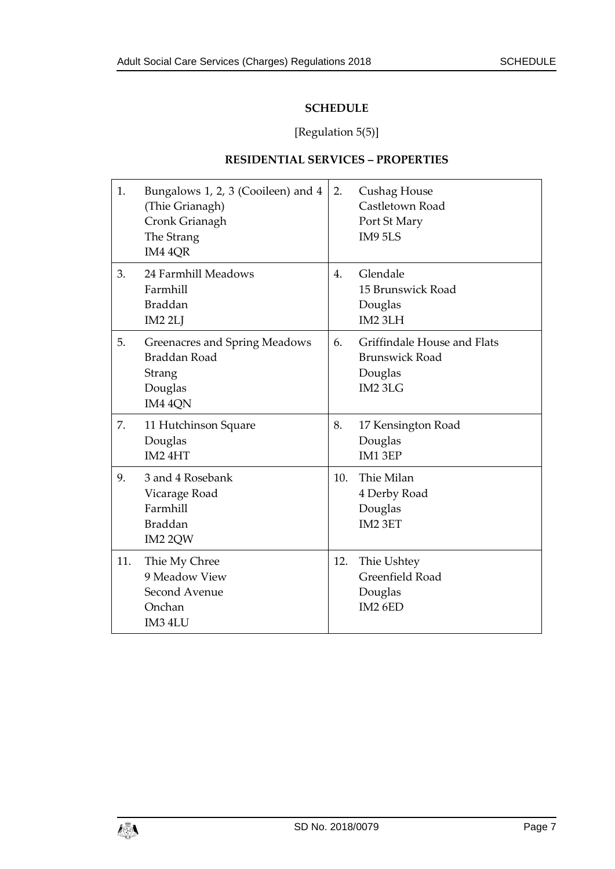# **SCHEDULE**

# [Regulation [5\(5\)\]](#page-3-0)

# **RESIDENTIAL SERVICES – PROPERTIES**

| 1.  | Bungalows 1, 2, 3 (Cooileen) and 4<br>(Thie Grianagh)<br>Cronk Grianagh<br>The Strang<br>IM4 4QR | 2.  | Cushag House<br>Castletown Road<br>Port St Mary<br>IM9 5LS                 |
|-----|--------------------------------------------------------------------------------------------------|-----|----------------------------------------------------------------------------|
| 3.  | 24 Farmhill Meadows<br>Farmhill<br><b>Braddan</b><br>IM <sub>2</sub> 2LJ                         | 4.  | Glendale<br>15 Brunswick Road<br>Douglas<br>IM2 3LH                        |
| 5.  | Greenacres and Spring Meadows<br>Braddan Road<br>Strang<br>Douglas<br>IM4 4QN                    | 6.  | Griffindale House and Flats<br><b>Brunswick Road</b><br>Douglas<br>IM2 3LG |
| 7.  | 11 Hutchinson Square<br>Douglas<br>IM24HT                                                        | 8.  | 17 Kensington Road<br>Douglas<br>IM13EP                                    |
| 9.  | 3 and 4 Rosebank<br>Vicarage Road<br>Farmhill<br><b>Braddan</b><br>IM2 2QW                       | 10. | Thie Milan<br>4 Derby Road<br>Douglas<br>IM2 3ET                           |
| 11. | Thie My Chree<br>9 Meadow View<br>Second Avenue<br>Onchan<br>IM3 4LU                             | 12. | Thie Ushtey<br>Greenfield Road<br>Douglas<br>IM2 6ED                       |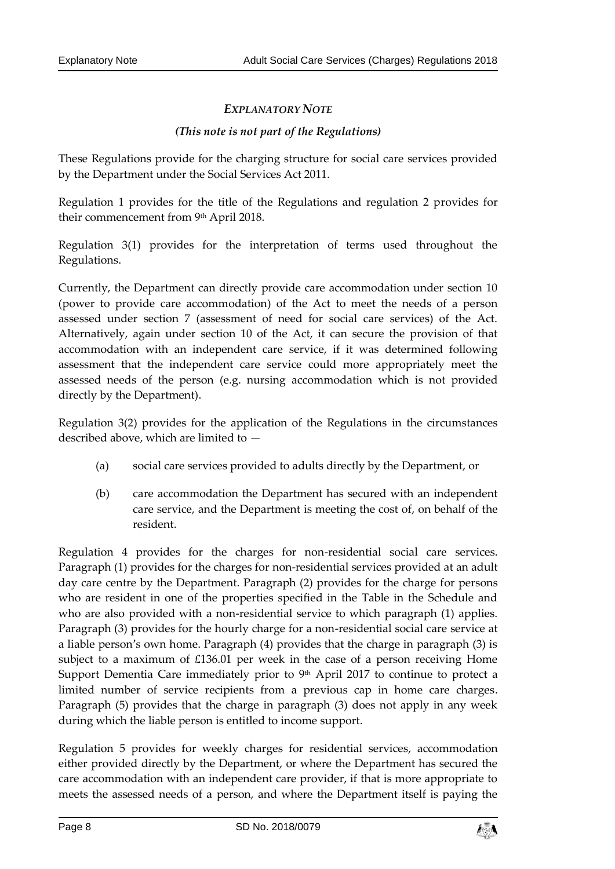# *EXPLANATORY NOTE*

#### *(This note is not part of the Regulations)*

These Regulations provide for the charging structure for social care services provided by the Department under the Social Services Act 2011.

Regulation 1 provides for the title of the Regulations and regulation 2 provides for their commencement from 9 th April 2018.

Regulation 3(1) provides for the interpretation of terms used throughout the Regulations.

Currently, the Department can directly provide care accommodation under section 10 (power to provide care accommodation) of the Act to meet the needs of a person assessed under section 7 (assessment of need for social care services) of the Act. Alternatively, again under section 10 of the Act, it can secure the provision of that accommodation with an independent care service, if it was determined following assessment that the independent care service could more appropriately meet the assessed needs of the person (e.g. nursing accommodation which is not provided directly by the Department).

Regulation 3(2) provides for the application of the Regulations in the circumstances described above, which are limited to —

- (a) social care services provided to adults directly by the Department, or
- (b) care accommodation the Department has secured with an independent care service, and the Department is meeting the cost of, on behalf of the resident.

Regulation 4 provides for the charges for non-residential social care services. Paragraph (1) provides for the charges for non-residential services provided at an adult day care centre by the Department. Paragraph (2) provides for the charge for persons who are resident in one of the properties specified in the Table in the Schedule and who are also provided with a non-residential service to which paragraph (1) applies. Paragraph (3) provides for the hourly charge for a non-residential social care service at a liable person's own home. Paragraph (4) provides that the charge in paragraph (3) is subject to a maximum of £136.01 per week in the case of a person receiving Home Support Dementia Care immediately prior to 9<sup>th</sup> April 2017 to continue to protect a limited number of service recipients from a previous cap in home care charges. Paragraph (5) provides that the charge in paragraph (3) does not apply in any week during which the liable person is entitled to income support.

Regulation 5 provides for weekly charges for residential services, accommodation either provided directly by the Department, or where the Department has secured the care accommodation with an independent care provider, if that is more appropriate to meets the assessed needs of a person, and where the Department itself is paying the